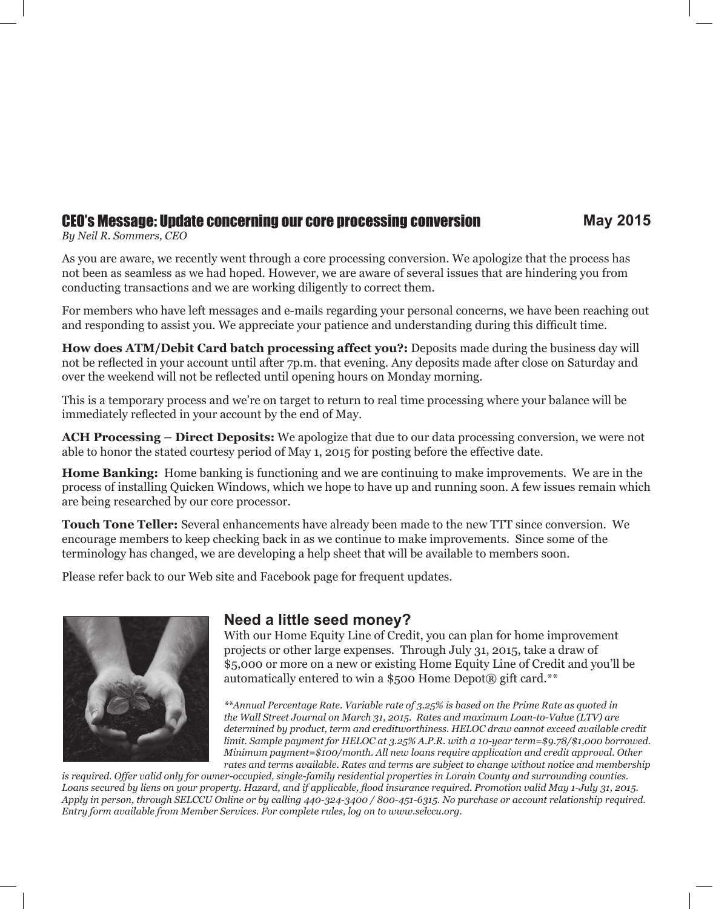## CEO's Message: Update concerning our core processing conversion **May 2015**

*By Neil R. Sommers, CEO*

As you are aware, we recently went through a core processing conversion. We apologize that the process has not been as seamless as we had hoped. However, we are aware of several issues that are hindering you from conducting transactions and we are working diligently to correct them.

For members who have left messages and e-mails regarding your personal concerns, we have been reaching out and responding to assist you. We appreciate your patience and understanding during this difficult time.

**How does ATM/Debit Card batch processing affect you?:** Deposits made during the business day will not be reflected in your account until after 7p.m. that evening. Any deposits made after close on Saturday and over the weekend will not be reflected until opening hours on Monday morning.

This is a temporary process and we're on target to return to real time processing where your balance will be immediately reflected in your account by the end of May.

**ACH Processing – Direct Deposits:** We apologize that due to our data processing conversion, we were not able to honor the stated courtesy period of May 1, 2015 for posting before the effective date.

**Home Banking:** Home banking is functioning and we are continuing to make improvements. We are in the process of installing Quicken Windows, which we hope to have up and running soon. A few issues remain which are being researched by our core processor.

**Touch Tone Teller:** Several enhancements have already been made to the new TTT since conversion. We encourage members to keep checking back in as we continue to make improvements. Since some of the terminology has changed, we are developing a help sheet that will be available to members soon.

Please refer back to our Web site and Facebook page for frequent updates.



### **Need a little seed money?**

With our Home Equity Line of Credit, you can plan for home improvement projects or other large expenses. Through July 31, 2015, take a draw of \$5,000 or more on a new or existing Home Equity Line of Credit and you'll be automatically entered to win a \$500 Home Depot® gift card.\*\*

*\*\*Annual Percentage Rate. Variable rate of 3.25% is based on the Prime Rate as quoted in the Wall Street Journal on March 31, 2015. Rates and maximum Loan-to-Value (LTV) are determined by product, term and creditworthiness. HELOC draw cannot exceed available credit limit. Sample payment for HELOC at 3.25% A.P.R. with a 10-year term=\$9.78/\$1,000 borrowed. Minimum payment=\$100/month. All new loans require application and credit approval. Other rates and terms available. Rates and terms are subject to change without notice and membership* 

*is required. Offer valid only for owner-occupied, single-family residential properties in Lorain County and surrounding counties. Loans secured by liens on your property. Hazard, and if applicable, flood insurance required. Promotion valid May 1-July 31, 2015. Apply in person, through SELCCU Online or by calling 440-324-3400 / 800-451-6315. No purchase or account relationship required. Entry form available from Member Services. For complete rules, log on to www.selccu.org.*